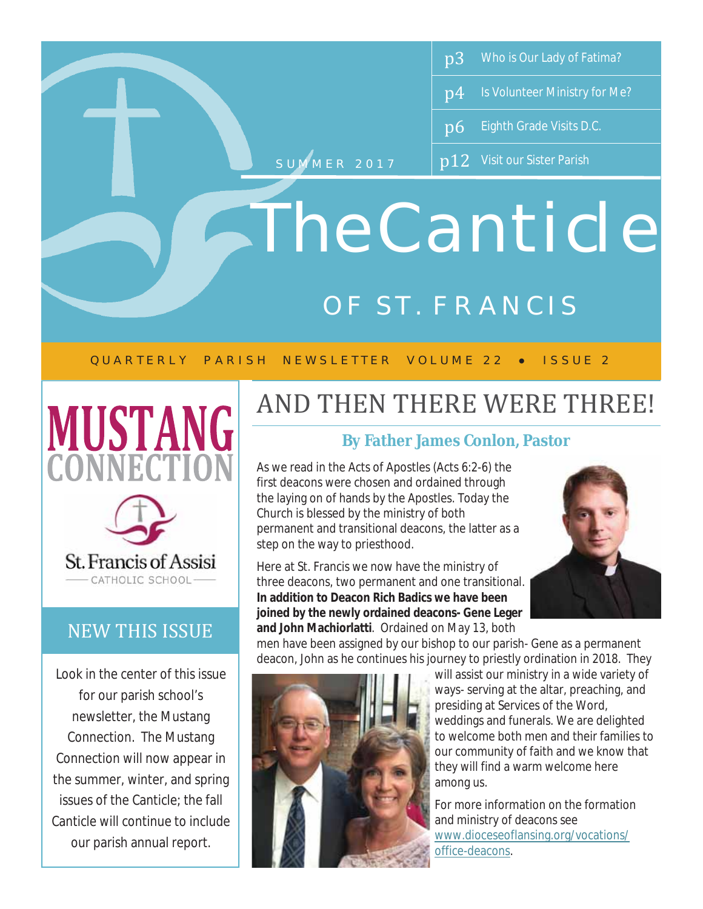

- $\mathbf{p4}$  Is Volunteer Ministry for Me?
- **p6** Eighth Grade Visits D.C.
- $p12$  Visit our Sister Parish

# The Canticle OF ST. FRANCIS

QUARTERLY PARISH NEWSLETTER VOLUME 22 ʀ ISSUE 2

SUMMER 2017



**St. Francis of Assisi** CATHOLIC SCHOOL-

#### **NEW THIS ISSUE**

Look in the center of this issue for our parish school's newsletter, the Mustang Connection. The Mustang Connection will now appear in the summer, winter, and spring issues of the Canticle; the fall Canticle will continue to include our parish annual report.

## AND THEN THERE WERE THREE!

#### **By Father James Conlon, Pastor**

As we read in the Acts of Apostles (Acts 6:2-6) the first deacons were chosen and ordained through the laying on of hands by the Apostles. Today the Church is blessed by the ministry of both permanent and transitional deacons, the latter as a step on the way to priesthood.

Here at St. Francis we now have the ministry of three deacons, two permanent and one transitional. **In addition to Deacon Rich Badics we have been joined by the newly ordained deacons- Gene Leger and John Machiorlatti**. Ordained on May 13, both

men have been assigned by our bishop to our parish- Gene as a permanent deacon, John as he continues his journey to priestly ordination in 2018. They



will assist our ministry in a wide variety of ways- serving at the altar, preaching, and presiding at Services of the Word, weddings and funerals. We are delighted to welcome both men and their families to our community of faith and we know that they will find a warm welcome here among us.

For more information on the formation and ministry of deacons see www.dioceseoflansing.org/vocations/ office-deacons.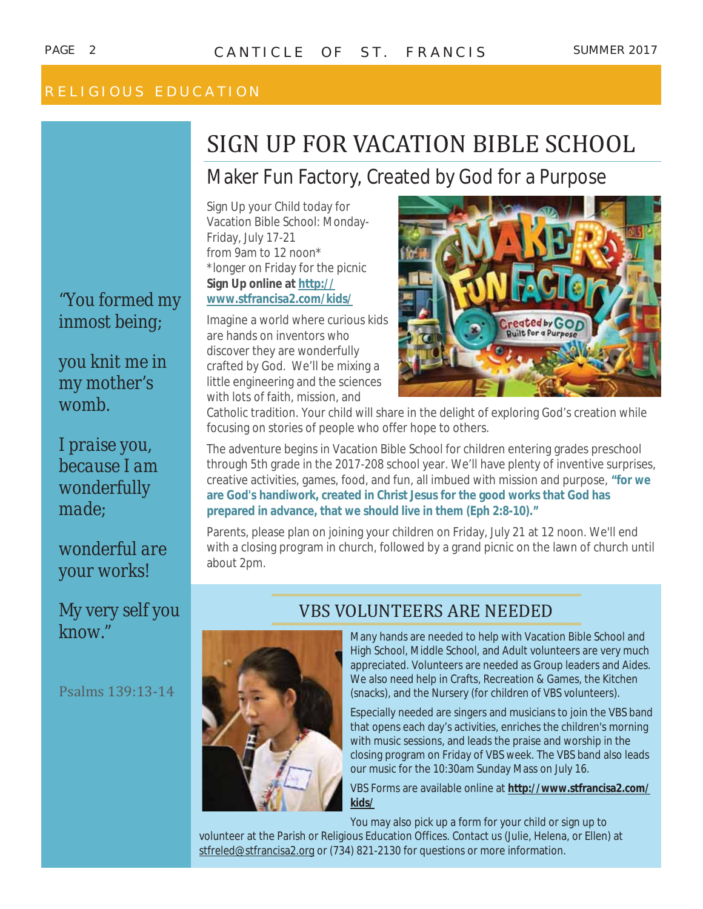#### RELIGIOUS EDUCATION

## SIGN UP FOR VACATION BIBLE SCHOOL

#### Maker Fun Factory, Created by God for a Purpose

Sign Up your Child today for Vacation Bible School: Monday-Friday, July 17-21 from 9am to 12 noon\* \*longer on Friday for the picnic **Sign Up online at http:// www.stfrancisa2.com/kids/**

Imagine a world where curious kids are hands on inventors who discover they are wonderfully crafted by God. We'll be mixing a little engineering and the sciences with lots of faith, mission, and



*"You formed my inmost being;* 

*you knit me in my mother's womb.* 

*I praise you, because I am wonderfully made;* 

*wonderful are your works!* 

*My very self you know."* 

Psalms 139:13-14

Catholic tradition. Your child will share in the delight of exploring God's creation while focusing on stories of people who offer hope to others.

The adventure begins in Vacation Bible School for children entering grades preschool through 5th grade in the 2017-208 school year. We'll have plenty of inventive surprises, creative activities, games, food, and fun, all imbued with mission and purpose, **"for we are God's handiwork, created in Christ Jesus for the good works that God has prepared in advance, that we should live in them (Eph 2:8-10)."**

Parents, please plan on joining your children on Friday, July 21 at 12 noon. We'll end with a closing program in church, followed by a grand picnic on the lawn of church until about 2pm.



#### **VBS VOLUNTEERS ARE NEEDED**

Many hands are needed to help with Vacation Bible School and High School, Middle School, and Adult volunteers are very much appreciated. Volunteers are needed as Group leaders and Aides. We also need help in Crafts, Recreation & Games, the Kitchen (snacks), and the Nursery (for children of VBS volunteers).

Especially needed are singers and musicians to join the VBS band that opens each day's activities, enriches the children's morning with music sessions, and leads the praise and worship in the closing program on Friday of VBS week. The VBS band also leads our music for the 10:30am Sunday Mass on July 16.

VBS Forms are available online at **http://www.stfrancisa2.com/ kids/**

You may also pick up a form for your child or sign up to

volunteer at the Parish or Religious Education Offices. Contact us (Julie, Helena, or Ellen) at stfreled@stfrancisa2.org or (734) 821-2130 for questions or more information.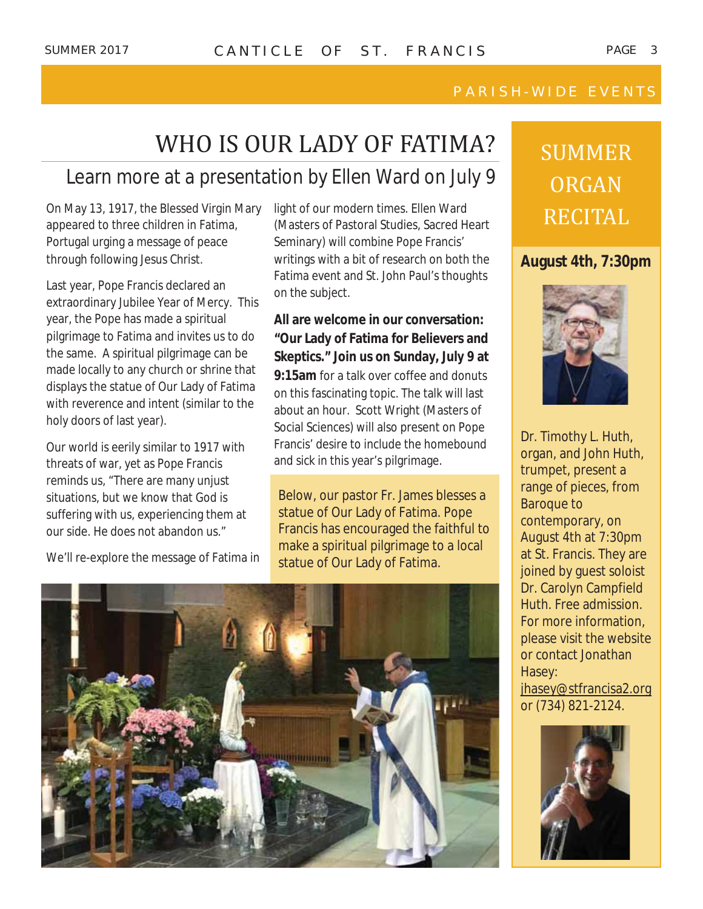#### PARISH-WIDE EVENTS

## WHO IS OUR LADY OF FATIMA?

#### Learn more at a presentation by Ellen Ward on July 9

On May 13, 1917, the Blessed Virgin Mary appeared to three children in Fatima, Portugal urging a message of peace through following Jesus Christ.

Last year, Pope Francis declared an extraordinary Jubilee Year of Mercy. This year, the Pope has made a spiritual pilgrimage to Fatima and invites us to do the same. A spiritual pilgrimage can be made locally to any church or shrine that displays the statue of Our Lady of Fatima with reverence and intent (similar to the holy doors of last year).

Our world is eerily similar to 1917 with threats of war, yet as Pope Francis reminds us, "There are many unjust situations, but we know that God is suffering with us, experiencing them at our side. He does not abandon us."

We'll re-explore the message of Fatima in

light of our modern times. Ellen Ward (Masters of Pastoral Studies, Sacred Heart Seminary) will combine Pope Francis' writings with a bit of research on both the Fatima event and St. John Paul's thoughts on the subject.

**All are welcome in our conversation: "Our Lady of Fatima for Believers and Skeptics." Join us on Sunday, July 9 at 9:15am** for a talk over coffee and donuts on this fascinating topic. The talk will last about an hour. Scott Wright (Masters of Social Sciences) will also present on Pope Francis' desire to include the homebound and sick in this year's pilgrimage.

Below, our pastor Fr. James blesses a statue of Our Lady of Fatima. Pope Francis has encouraged the faithful to make a spiritual pilgrimage to a local statue of Our Lady of Fatima.



## **SUMMER** ORGAN **RECITAL**

**August 4th, 7:30pm** 



Dr. Timothy L. Huth, organ, and John Huth, trumpet, present a range of pieces, from Baroque to contemporary, on August 4th at 7:30pm at St. Francis. They are joined by guest soloist Dr. Carolyn Campfield Huth. Free admission. For more information, please visit the website or contact Jonathan Hasey:

jhasey@stfrancisa2.org or (734) 821-2124.

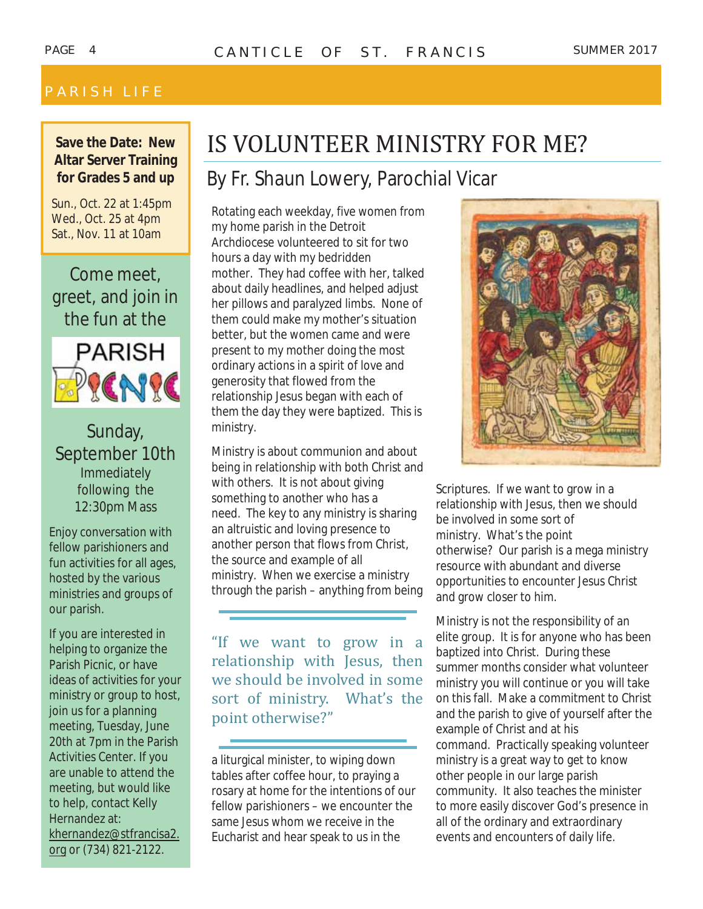#### PARISH LIFE

**Save the Date: New Altar Server Training for Grades 5 and up** 

Sun., Oct. 22 at 1:45pm Wed., Oct. 25 at 4pm Sat., Nov. 11 at 10am

Come meet, greet, and join in the fun at the



Sunday, September 10th Immediately following the 12:30pm Mass

Enjoy conversation with fellow parishioners and fun activities for all ages, hosted by the various ministries and groups of our parish.

If you are interested in helping to organize the Parish Picnic, or have ideas of activities for your ministry or group to host, join us for a planning meeting, Tuesday, June 20th at 7pm in the Parish Activities Center. If you are unable to attend the meeting, but would like to help, contact Kelly Hernandez at: khernandez@stfrancisa2. org or (734) 821-2122.

## IS VOLUNTEER MINISTRY FOR ME?

#### By Fr. Shaun Lowery, Parochial Vicar

Rotating each weekday, five women from my home parish in the Detroit Archdiocese volunteered to sit for two hours a day with my bedridden mother. They had coffee with her, talked about daily headlines, and helped adjust her pillows and paralyzed limbs. None of them could make my mother's situation better, but the women came and were present to my mother doing the most ordinary actions in a spirit of love and generosity that flowed from the relationship Jesus began with each of them the day they were baptized. This is ministry.

Ministry is about communion and about being in relationship with both Christ and with others. It is not about giving something to another who has a need. The key to any ministry is sharing an altruistic and loving presence to another person that flows from Christ, the source and example of all ministry. When we exercise a ministry through the parish – anything from being

"If we want to grow in a relationship with Jesus, then we should be involved in some sort of ministry. What's the point otherwise?"

a liturgical minister, to wiping down tables after coffee hour, to praying a rosary at home for the intentions of our fellow parishioners – we encounter the same Jesus whom we receive in the Eucharist and hear speak to us in the



Scriptures. If we want to grow in a relationship with Jesus, then we should be involved in some sort of ministry. What's the point otherwise? Our parish is a mega ministry resource with abundant and diverse opportunities to encounter Jesus Christ and grow closer to him.

Ministry is not the responsibility of an elite group. It is for anyone who has been baptized into Christ. During these summer months consider what volunteer ministry you will continue or you will take on this fall. Make a commitment to Christ and the parish to give of yourself after the example of Christ and at his command. Practically speaking volunteer ministry is a great way to get to know other people in our large parish community. It also teaches the minister to more easily discover God's presence in all of the ordinary and extraordinary events and encounters of daily life.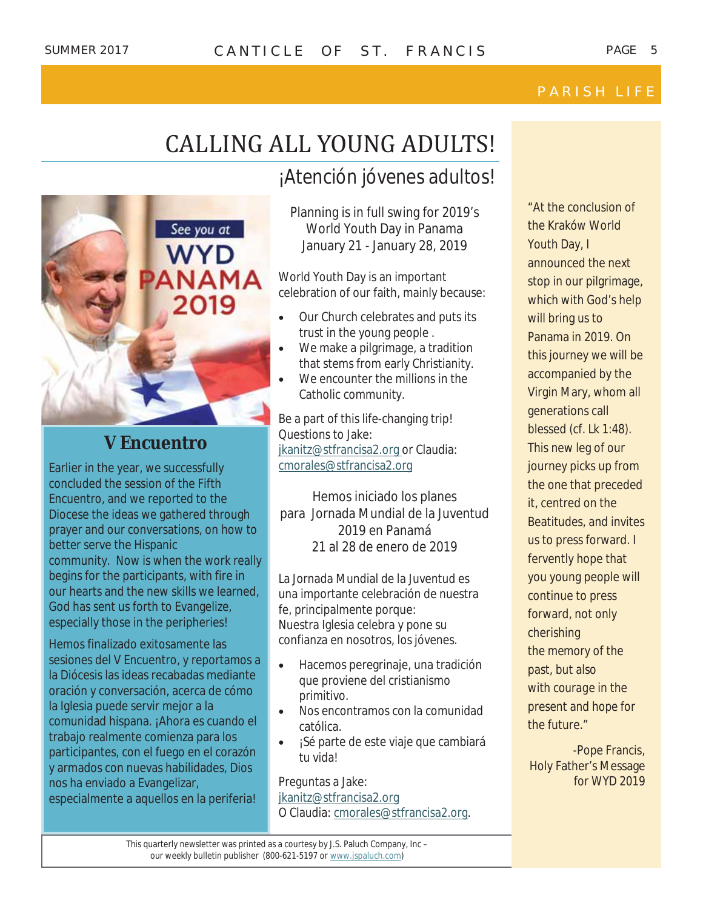#### PARISH LIFE

## CALLING ALL YOUNG ADULTS!



#### **V Encuentro**

Earlier in the year, we successfully concluded the session of the Fifth Encuentro, and we reported to the Diocese the ideas we gathered through prayer and our conversations, on how to better serve the Hispanic community. Now is when the work really begins for the participants, with fire in our hearts and the new skills we learned, God has sent us forth to Evangelize, especially those in the peripheries!

Hemos finalizado exitosamente las sesiones del V Encuentro, y reportamos a la Diócesis las ideas recabadas mediante oración y conversación, acerca de cómo la Iglesia puede servir mejor a la comunidad hispana. ¡Ahora es cuando el trabajo realmente comienza para los participantes, con el fuego en el corazón y armados con nuevas habilidades, Dios nos ha enviado a Evangelizar, especialmente a aquellos en la periferia!

### ¡Atención jóvenes adultos!

Planning is in full swing for 2019's World Youth Day in Panama January 21 - January 28, 2019

World Youth Day is an important celebration of our faith, mainly because:

- Our Church celebrates and puts its trust in the young people .
- We make a pilgrimage, a tradition that stems from early Christianity.
- We encounter the millions in the Catholic community.

Be a part of this life-changing trip! Questions to Jake: jkanitz@stfrancisa2.org or Claudia: cmorales@stfrancisa2.org

Hemos iniciado los planes para Jornada Mundial de la Juventud 2019 en Panamá 21 al 28 de enero de 2019

La Jornada Mundial de la Juventud es una importante celebración de nuestra fe, principalmente porque: Nuestra Iglesia celebra y pone su confianza en nosotros, los jóvenes.

- Hacemos peregrinaje, una tradición que proviene del cristianismo primitivo.
- Nos encontramos con la comunidad católica.
- ¡Sé parte de este viaje que cambiará tu vida!

#### Preguntas a Jake: jkanitz@stfrancisa2.org O Claudia: cmorales@stfrancisa2.org.

"At the conclusion of the Kraków World Youth Day, I announced the next stop in our pilgrimage, which with God's help will bring us to Panama in 2019. On this journey we will be accompanied by the Virgin Mary, whom all generations call blessed (cf. Lk 1:48). This new leg of our journey picks up from the one that preceded it, centred on the Beatitudes, and invites us to press forward. I fervently hope that you young people will continue to press forward, not only cherishing the *memory* of the past, but also with *courage* in the present and *hope* for the future."

-Pope Francis, Holy Father's Message for WYD 2019

This quarterly newsletter was printed as a courtesy by J.S. Paluch Company, Inc – our weekly bulletin publisher (800-621-5197 or www.jspaluch.com)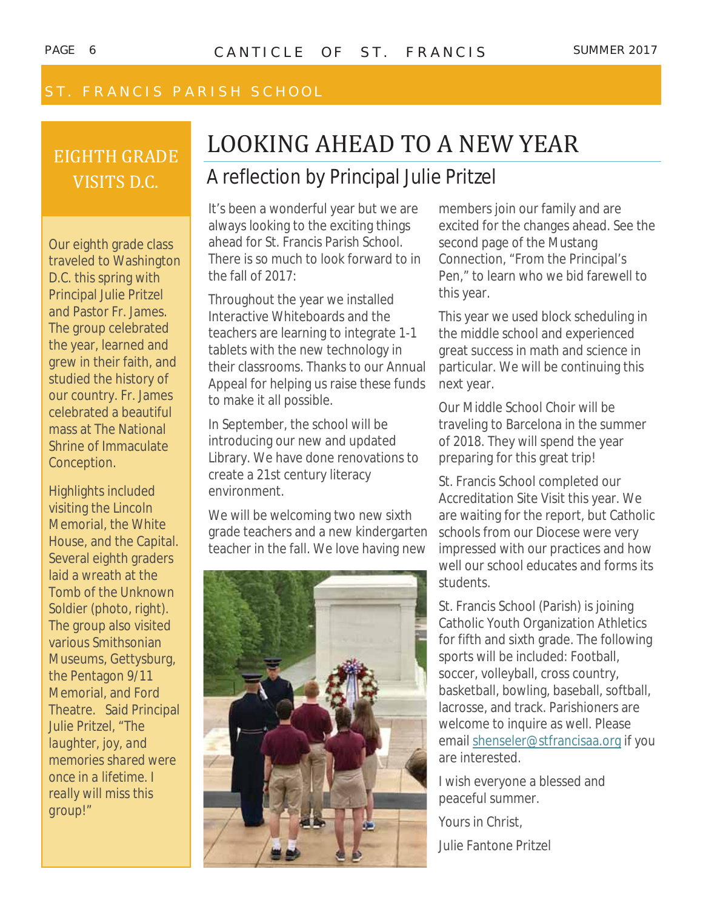#### ST. FRANCIS PARISH SCHOOL

# EIGHTH GRADE

Our eighth grade class traveled to Washington D.C. this spring with Principal Julie Pritzel and Pastor Fr. James. The group celebrated the year, learned and grew in their faith, and studied the history of our country. Fr. James celebrated a beautiful mass at The National Shrine of Immaculate Conception.

Highlights included visiting the Lincoln Memorial, the White House, and the Capital. Several eighth graders laid a wreath at the Tomb of the Unknown Soldier (photo, right). The group also visited various Smithsonian Museums, Gettysburg, the Pentagon 9/11 Memorial, and Ford Theatre. Said Principal Julie Pritzel, *"The laughter, joy, and memories shared were once in a lifetime. I really will miss this group!"*

## LOOKING AHEAD TO A NEW YEAR

#### VISITS D.C. A reflection by Principal Julie Pritzel

It's been a wonderful year but we are always looking to the exciting things ahead for St. Francis Parish School. There is so much to look forward to in the fall of 2017:

Throughout the year we installed Interactive Whiteboards and the teachers are learning to integrate 1-1 tablets with the new technology in their classrooms. Thanks to our Annual Appeal for helping us raise these funds to make it all possible.

In September, the school will be introducing our new and updated Library. We have done renovations to create a 21st century literacy environment.

We will be welcoming two new sixth grade teachers and a new kindergarten teacher in the fall. We love having new



members join our family and are excited for the changes ahead. See the second page of the Mustang Connection, "From the Principal's Pen," to learn who we bid farewell to this year.

This year we used block scheduling in the middle school and experienced great success in math and science in particular. We will be continuing this next year.

Our Middle School Choir will be traveling to Barcelona in the summer of 2018. They will spend the year preparing for this great trip!

St. Francis School completed our Accreditation Site Visit this year. We are waiting for the report, but Catholic schools from our Diocese were very impressed with our practices and how well our school educates and forms its students.

St. Francis School (Parish) is joining Catholic Youth Organization Athletics for fifth and sixth grade. The following sports will be included: Football, soccer, volleyball, cross country, basketball, bowling, baseball, softball, lacrosse, and track. Parishioners are welcome to inquire as well. Please email shenseler@stfrancisaa.org if you are interested.

I wish everyone a blessed and peaceful summer.

Yours in Christ,

Julie Fantone Pritzel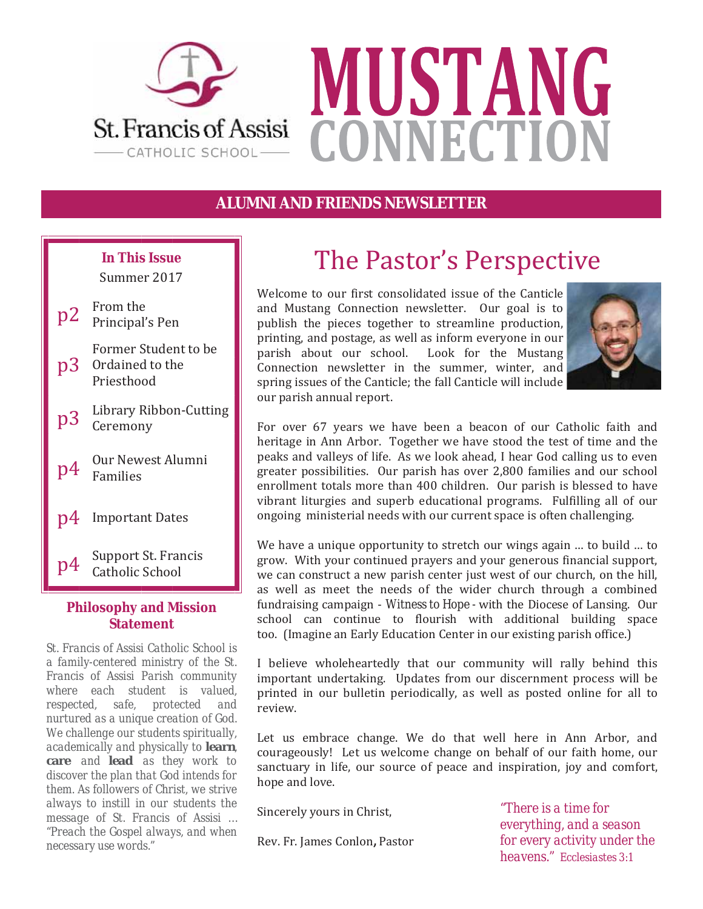

# MUSTANG CONNECTION

#### **ALUMNI AND FRIENDS NEWSLETTER**

|    | <b>In This Issue</b><br>Summer 2017                   |  |  |  |
|----|-------------------------------------------------------|--|--|--|
| p2 | From the<br>Principal's Pen                           |  |  |  |
| p3 | Former Student to be<br>Ordained to the<br>Priesthood |  |  |  |
| p3 | Library Ribbon-Cutting<br>Ceremony                    |  |  |  |
| p4 | Our Newest Alumni<br><b>Families</b>                  |  |  |  |
| p4 | <b>Important Dates</b>                                |  |  |  |
|    | Support St. Francis<br>Catholic School                |  |  |  |

#### **Philosophy and Mission Statement**

*St. Francis of Assisi Catholic School is a family-centered ministry of the St. Francis of Assisi Parish community where each student is valued, respected, safe, protected and nurtured as a unique creation of God. We challenge our students spiritually, academically and physically to learn, care and lead as they work to discover the plan that God intends for them. As followers of Christ, we strive always to instill in our students the message of St. Francis of Assisi … "Preach the Gospel always, and when necessary use words."* 

## The Pastor's Perspective

Welcome to our first consolidated issue of the Canticle and Mustang Connection newsletter. Our goal is to publish the pieces together to streamline production. printing, and postage, as well as inform everyone in our parish about our school. Look for the Mustang Connection newsletter in the summer, winter, and spring issues of the Canticle; the fall Canticle will include our parish annual report.



For over 67 years we have been a beacon of our Catholic faith and heritage in Ann Arbor. Together we have stood the test of time and the peaks and valleys of life. As we look ahead, I hear God calling us to even greater possibilities. Our parish has over 2,800 families and our school enrollment totals more than 400 children. Our parish is blessed to have vibrant liturgies and superb educational programs. Fulfilling all of our ongoing ministerial needs with our current space is often challenging.

We have a unique opportunity to stretch our wings again ... to build ... to grow. With your continued prayers and your generous financial support, we can construct a new parish center just west of our church, on the hill, as well as meet the needs of the wider church through a combined fundraising campaign - *Witness to Hope* - with the Diocese of Lansing. Our school can continue to flourish with additional building space too. (Imagine an Early Education Center in our existing parish office.)

I believe wholeheartedly that our community will rally behind this important undertaking. Updates from our discernment process will be printed in our bulletin periodically, as well as posted online for all to review.

Let us embrace change. We do that well here in Ann Arbor, and courageously! Let us welcome change on behalf of our faith home, our sanctuary in life, our source of peace and inspiration, joy and comfort, hope and love.

Sincerely yours in Christ,

Rev. Fr. James Conlon, Pastor

*"There is a time for everything, and a season for every activity under the heavens." Ecclesiastes 3:1*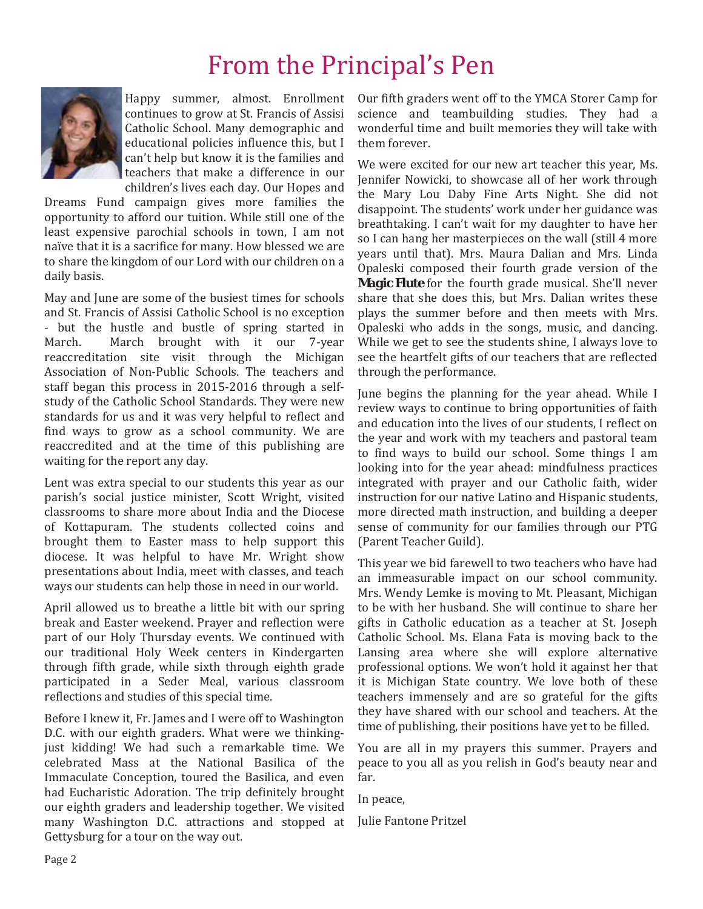## **From the Principal's Pen**



Happy summer, almost. Enrollment continues to grow at St. Francis of Assisi Catholic School. Many demographic and educational policies influence this, but I can't help but know it is the families and teachers that make a difference in our children's lives each day. Our Hopes and

Dreams Fund campaign gives more families the opportunity to afford our tuition. While still one of the least expensive parochial schools in town, I am not naïve that it is a sacrifice for many. How blessed we are to share the kingdom of our Lord with our children on a daily basis.

May and June are some of the busiest times for schools and St. Francis of Assisi Catholic School is no exception - but the hustle and bustle of spring started in March. March brought with it our 7-year reaccreditation site visit through the Michigan Association of Non-Public Schools. The teachers and staff began this process in 2015-2016 through a selfstudy of the Catholic School Standards. They were new standards for us and it was very helpful to reflect and find ways to grow as a school community. We are reaccredited and at the time of this publishing are waiting for the report any day.

Lent was extra special to our students this year as our parish's social justice minister, Scott Wright, visited classrooms to share more about India and the Diocese of Kottapuram. The students collected coins and brought them to Easter mass to help support this diocese. It was helpful to have Mr. Wright show presentations about India, meet with classes, and teach ways our students can help those in need in our world.

April allowed us to breathe a little bit with our spring break and Easter weekend. Prayer and reflection were part of our Holy Thursday events. We continued with our traditional Holy Week centers in Kindergarten through fifth grade, while sixth through eighth grade participated in a Seder Meal, various classroom reflections and studies of this special time.

Before I knew it, Fr. James and I were off to Washington D.C. with our eighth graders. What were we thinkingjust kidding! We had such a remarkable time. We celebrated Mass at the National Basilica of the Immaculate Conception, toured the Basilica, and even had Eucharistic Adoration. The trip definitely brought our eighth graders and leadership together. We visited many Washington D.C. attractions and stopped at Gettysburg for a tour on the way out.

Our fifth graders went off to the YMCA Storer Camp for science and teambuilding studies. They had a wonderful time and built memories they will take with them forever.

We were excited for our new art teacher this year, Ms. Jennifer Nowicki, to showcase all of her work through the Mary Lou Daby Fine Arts Night. She did not disappoint. The students' work under her guidance was breathtaking. I can't wait for my daughter to have her so I can hang her masterpieces on the wall (still 4 more years until that). Mrs. Maura Dalian and Mrs. Linda Opaleski composed their fourth grade version of the *Magic Flute* for the fourth grade musical. She'll never share that she does this, but Mrs. Dalian writes these plays the summer before and then meets with Mrs. Opaleski who adds in the songs, music, and dancing. While we get to see the students shine, I always love to see the heartfelt gifts of our teachers that are reflected through the performance.

June begins the planning for the year ahead. While I review ways to continue to bring opportunities of faith and education into the lives of our students, I reflect on the year and work with my teachers and pastoral team to find ways to build our school. Some things I am looking into for the year ahead: mindfulness practices integrated with prayer and our Catholic faith, wider instruction for our native Latino and Hispanic students, more directed math instruction, and building a deeper sense of community for our families through our PTG (Parent Teacher Guild).

This year we bid farewell to two teachers who have had an immeasurable impact on our school community. Mrs. Wendy Lemke is moving to Mt. Pleasant, Michigan to be with her husband. She will continue to share her gifts in Catholic education as a teacher at St. Joseph Catholic School. Ms. Elana Fata is moving back to the Lansing area where she will explore alternative professional options. We won't hold it against her that it is Michigan State country. We love both of these teachers immensely and are so grateful for the gifts they have shared with our school and teachers. At the time of publishing, their positions have yet to be filled.

You are all in my prayers this summer. Prayers and peace to you all as you relish in God's beauty near and far.

In peace,

**Iulie Fantone Pritzel**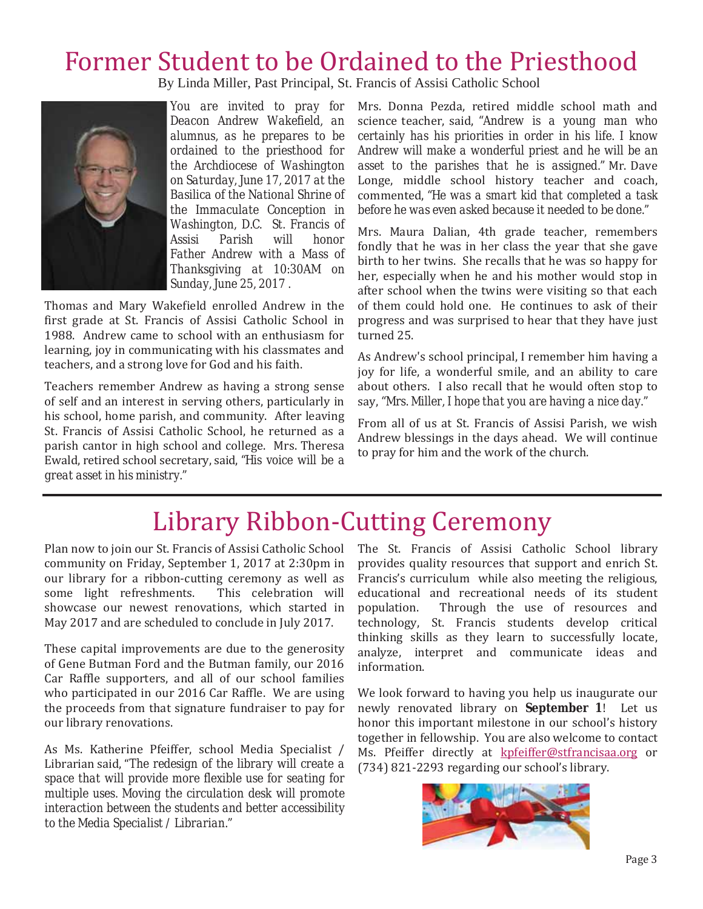## Former Student to be Ordained to the Priesthood

By Linda Miller, Past Principal, St. Francis of Assisi Catholic School



*You are invited to pray for Deacon Andrew Wakefield, an alumnus, as he prepares to be ordained to the priesthood for the Archdiocese of Washington on Saturday, June 17, 2017 at the Basilica of the National Shrine of the Immaculate Conception in Washington, D.C. St. Francis of Assisi Parish will honor Father Andrew with a Mass of Thanksgiving at 10:30AM on Sunday, June 25, 2017 .*

Thomas and Mary Wakefield enrolled Andrew in the first grade at St. Francis of Assisi Catholic School in 1988. Andrew came to school with an enthusiasm for learning, joy in communicating with his classmates and teachers, and a strong love for God and his faith.

Teachers remember Andrew as having a strong sense of self and an interest in serving others, particularly in his school, home parish, and community. After leaving St. Francis of Assisi Catholic School, he returned as a parish cantor in high school and college. Mrs. Theresa Ewald, retired school secretary, said, "His voice will be a *great asset in his ministry."*

Mrs. Donna Pezda, retired middle school math and science teacher, said, "Andrew is a young man who *certainly has his priorities in order in his life. I know Andrew will make a wonderful priest and he will be an asset to the parishes that he is assigned.*" Mr. Dave Longe, middle school history teacher and coach, ǡ*"He was a smart kid that completed a task before he was even asked because it needed to be done."*

Mrs. Maura Dalian, 4th grade teacher, remembers fondly that he was in her class the year that she gave birth to her twins. She recalls that he was so happy for her, especially when he and his mother would stop in after school when the twins were visiting so that each of them could hold one. He continues to ask of their progress and was surprised to hear that they have just turned 25.

As Andrew's school principal, I remember him having a joy for life, a wonderful smile, and an ability to care about others. I also recall that he would often stop to ǡ*"Mrs. Miller, I hope that you are having a nice day."* 

From all of us at St. Francis of Assisi Parish, we wish Andrew blessings in the days ahead. We will continue to pray for him and the work of the church.

## **Library Ribbon-Cutting Ceremony**

Plan now to join our St. Francis of Assisi Catholic School community on Friday, September 1, 2017 at 2:30pm in our library for a ribbon-cutting ceremony as well as some light refreshments. This celebration will showcase our newest renovations, which started in May 2017 and are scheduled to conclude in July 2017.

These capital improvements are due to the generosity of Gene Butman Ford and the Butman family, our 2016 Car Raffle supporters, and all of our school families who participated in our 2016 Car Raffle. We are using the proceeds from that signature fundraiser to pay for our library renovations.

As Ms. Katherine Pfeiffer, school Media Specialist / Librarian said, "The redesign of the library will create a *space that will provide more flexible use for seating for multiple uses. Moving the circulation desk will promote interaction between the students and better accessibility to the Media Specialist / Librarian."*

The St. Francis of Assisi Catholic School library provides quality resources that support and enrich St. Francis's curriculum while also meeting the religious, educational and recreational needs of its student population. Through the use of resources and technology, St. Francis students develop critical thinking skills as they learn to successfully locate, analyze, interpret and communicate ideas and information.

We look forward to having you help us inaugurate our newly renovated library on **September 1**! Let us honor this important milestone in our school's history together in fellowship. You are also welcome to contact Ms. Pfeiffer directly at kpfeiffer@stfrancisaa.org or (734) 821-2293 regarding our school's library.

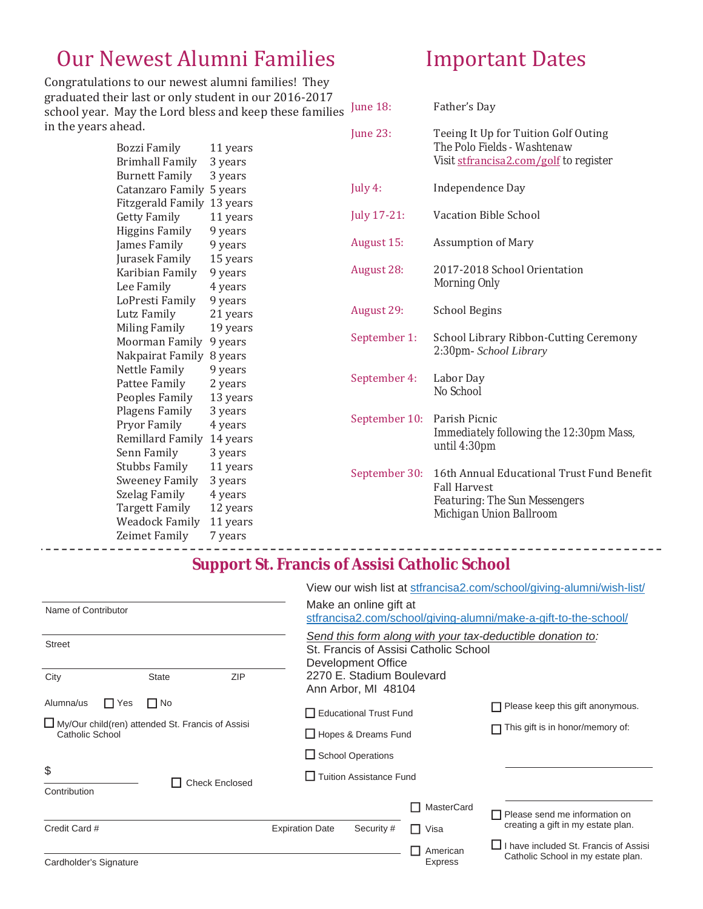## **Our Newest Alumni Families**

Congratulations to our newest alumni families! They graduated their last or only student in our 2016-2017 school year. May the Lord bless and ke in the years ahead.

### **Important Dates**

|                            | May the Lord bless and keep these families | June 18:        | Father's Day                                            |
|----------------------------|--------------------------------------------|-----------------|---------------------------------------------------------|
| ıhead.                     |                                            | <b>June 23:</b> | Teeing It Up for Tuition Golf Outing                    |
| Bozzi Family               | 11 years                                   |                 | The Polo Fields - Washtenaw                             |
| <b>Brimhall Family</b>     | 3 years                                    |                 | Visit stfrancisa2.com/golf to register                  |
| <b>Burnett Family</b>      | 3 years                                    |                 |                                                         |
| Catanzaro Family 5 years   |                                            | July 4:         | Independence Day                                        |
| Fitzgerald Family 13 years |                                            |                 |                                                         |
| <b>Getty Family</b>        | 11 years                                   | July 17-21:     | Vacation Bible School                                   |
| <b>Higgins Family</b>      | 9 years                                    |                 |                                                         |
| James Family               | 9 years                                    | August 15:      | <b>Assumption of Mary</b>                               |
| Jurasek Family             | 15 years                                   |                 |                                                         |
| Karibian Family            | 9 years                                    | August 28:      | 2017-2018 School Orientation                            |
| Lee Family                 | 4 years                                    |                 | Morning Only                                            |
| LoPresti Family            | 9 years                                    |                 |                                                         |
| Lutz Family                | 21 years                                   | August 29:      | <b>School Begins</b>                                    |
| <b>Miling Family</b>       | 19 years                                   |                 |                                                         |
| Moorman Family             | 9 years                                    | September 1:    | School Library Ribbon-Cutting Ceremony                  |
| Nakpairat Family           | 8 years                                    |                 | 2:30pm- School Library                                  |
| Nettle Family              | 9 years                                    |                 |                                                         |
| Pattee Family              | 2 years                                    | September 4:    | Labor Day                                               |
| Peoples Family             | 13 years                                   |                 | No School                                               |
| Plagens Family             | 3 years                                    |                 |                                                         |
| Pryor Family               | 4 years                                    | September 10:   | Parish Picnic                                           |
| Remillard Family           | 14 years                                   |                 | Immediately following the 12:30pm Mass,<br>until 4:30pm |
| Senn Family                | 3 years                                    |                 |                                                         |
| <b>Stubbs Family</b>       | 11 years                                   | September 30:   | 16th Annual Educational Trust Fund Benefit              |
| <b>Sweeney Family</b>      | 3 years                                    |                 | <b>Fall Harvest</b>                                     |
| <b>Szelag Family</b>       | 4 years                                    |                 | <b>Featuring: The Sun Messengers</b>                    |
| <b>Targett Family</b>      | 12 years                                   |                 | Michigan Union Ballroom                                 |
| <b>Weadock Family</b>      | 11 years                                   |                 |                                                         |
| Zeimet Family              | 7 years                                    |                 |                                                         |

#### **Support St. Francis of Assisi Catholic School**

| Name of Contributor                                                                                      |           |                                                                                                                                                                               | View our wish list at stfrancisa2.com/school/giving-alumni/wish-list/<br>Make an online gift at<br>stfrancisa2.com/school/giving-alumni/make-a-gift-to-the-school/ |                                                      |                                   |                                                                             |
|----------------------------------------------------------------------------------------------------------|-----------|-------------------------------------------------------------------------------------------------------------------------------------------------------------------------------|--------------------------------------------------------------------------------------------------------------------------------------------------------------------|------------------------------------------------------|-----------------------------------|-----------------------------------------------------------------------------|
| <b>Street</b><br><b>ZIP</b><br>City<br><b>State</b>                                                      |           | Send this form along with your tax-deductible donation to:<br>St. Francis of Assisi Catholic School<br>Development Office<br>2270 E. Stadium Boulevard<br>Ann Arbor, MI 48104 |                                                                                                                                                                    |                                                      |                                   |                                                                             |
| Alumna/us<br>$\prod$ Yes<br>□ My/Our child(ren) attended St. Francis of Assisi<br><b>Catholic School</b> | $\Box$ No |                                                                                                                                                                               |                                                                                                                                                                    | <b>Educational Trust Fund</b><br>Hopes & Dreams Fund |                                   | Please keep this gift anonymous.<br>This gift is in honor/memory of:        |
| \$<br>Contribution                                                                                       |           | <b>Check Enclosed</b>                                                                                                                                                         |                                                                                                                                                                    | School Operations<br>Tuition Assistance Fund         |                                   |                                                                             |
| Credit Card #                                                                                            |           |                                                                                                                                                                               | <b>Expiration Date</b>                                                                                                                                             | Security #                                           | $\Box$ MasterCard<br>$\prod$ Visa | Please send me information on<br>creating a gift in my estate plan.         |
| Cardholder's Signature                                                                                   |           |                                                                                                                                                                               |                                                                                                                                                                    |                                                      | American<br><b>Express</b>        | I have included St. Francis of Assisi<br>Catholic School in my estate plan. |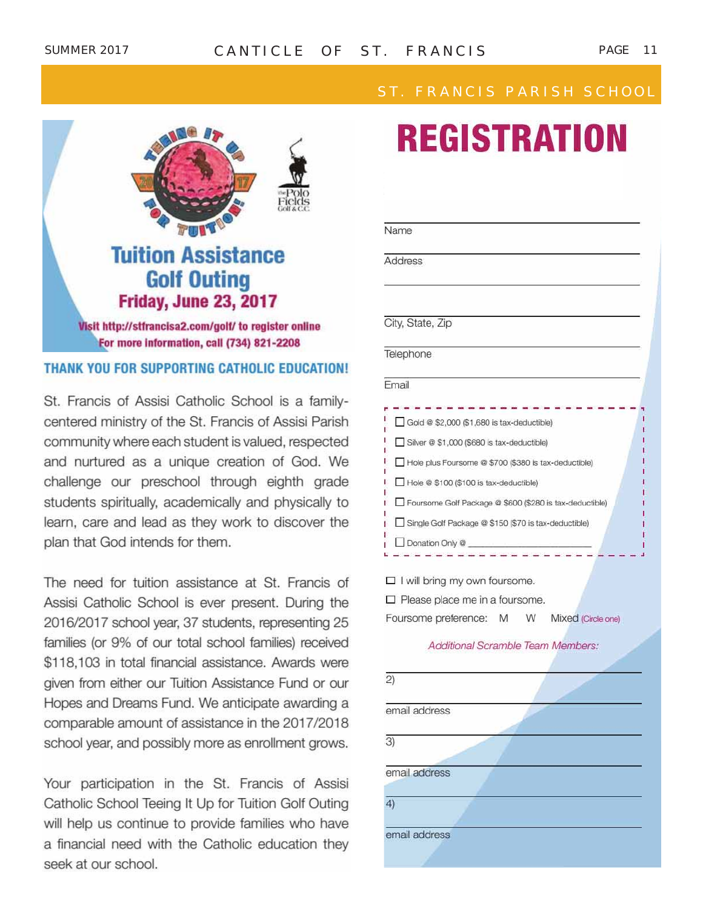

#### THANK YOU FOR SUPPORTING CATHOLIC EDUCATION!

St. Francis of Assisi Catholic School is a familycentered ministry of the St. Francis of Assisi Parish community where each student is valued, respected and nurtured as a unique creation of God. We challenge our preschool through eighth grade students spiritually, academically and physically to learn, care and lead as they work to discover the plan that God intends for them.

The need for tuition assistance at St. Francis of Assisi Catholic School is ever present. During the 2016/2017 school year, 37 students, representing 25 families (or 9% of our total school families) received \$118,103 in total financial assistance. Awards were given from either our Tuition Assistance Fund or our Hopes and Dreams Fund. We anticipate awarding a comparable amount of assistance in the 2017/2018 school year, and possibly more as enrollment grows.

Your participation in the St. Francis of Assisi Catholic School Teeing It Up for Tuition Golf Outing will help us continue to provide families who have a financial need with the Catholic education they seek at our school.

#### ST. FRANCIS PARISH SCHOOL

## **REGISTRATION**

| Name                                                                                                                                                                                                                                                                                                                                                                                      |
|-------------------------------------------------------------------------------------------------------------------------------------------------------------------------------------------------------------------------------------------------------------------------------------------------------------------------------------------------------------------------------------------|
| <b>Address</b>                                                                                                                                                                                                                                                                                                                                                                            |
| City, State, Zip                                                                                                                                                                                                                                                                                                                                                                          |
| Telephone                                                                                                                                                                                                                                                                                                                                                                                 |
| Email                                                                                                                                                                                                                                                                                                                                                                                     |
| Gold @ \$2,000 (\$1,680 is tax-deductible)<br>Silver @ \$1,000 (\$680 is tax-deductible)<br>Hole plus Foursome @ \$700 (\$380 is tax-deductible)<br>Hole @ \$100 (\$100 is tax-deductible)<br>Foursome Golf Package @ \$600 (\$280 is tax-deductible)<br>Single Golf Package @ \$150 (\$70 is tax-deductible)<br>Donation Only @ <b>Container Container Container Container</b> Container |
| I I will bring my own foursome.<br>Please place me in a foursome.                                                                                                                                                                                                                                                                                                                         |
| Mixed (Circle one)<br>Foursome preference:<br>M                                                                                                                                                                                                                                                                                                                                           |

#### Additional Scramble Team Members:

| 2)             |  |
|----------------|--|
| email address  |  |
| $\overline{3}$ |  |
| email address  |  |
| 4)             |  |
| email address  |  |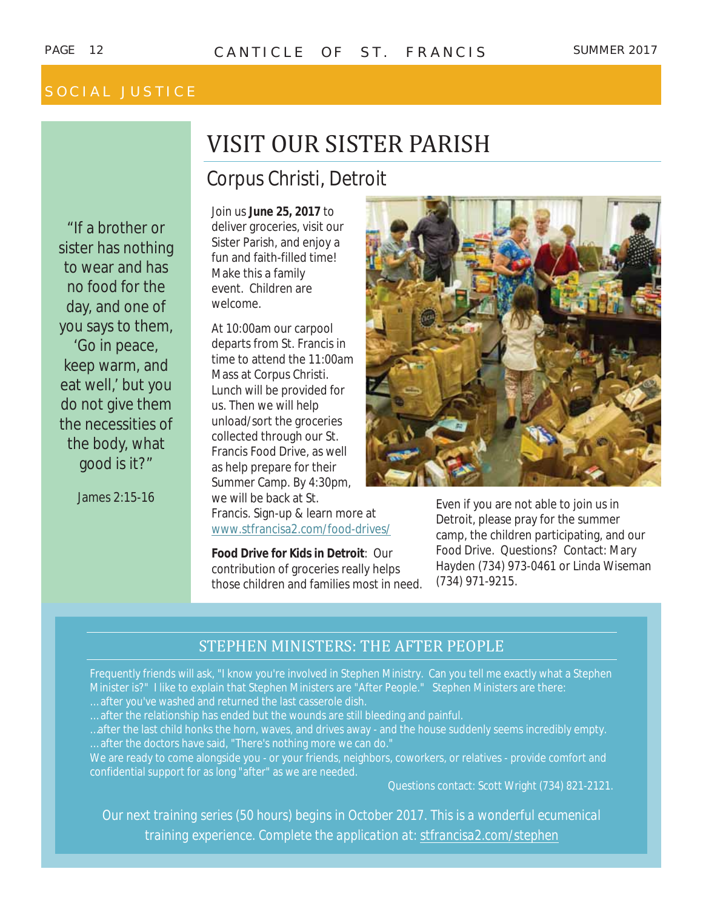#### SOCIAL JUSTICE

## **VISIT OUR SISTER PARISH**

#### Corpus Christi, Detroit

"If a brother or sister has nothing to wear and has no food for the day, and one of you says to them, 'Go in peace, keep warm, and eat well,' but you do not give them the necessities of the body, what good is it?"

James 2:15-16

Join us **June 25, 2017** to deliver groceries, visit our Sister Parish, and enjoy a fun and faith-filled time! Make this a family event. Children are welcome.

At 10:00am our carpool departs from St. Francis in time to attend the 11:00am Mass at Corpus Christi. Lunch will be provided for us. Then we will help unload/sort the groceries collected through our St. Francis Food Drive, as well as help prepare for their Summer Camp. By 4:30pm, we will be back at St. Francis. Sign-up & learn more at www.stfrancisa2.com/food-drives/

**Food Drive for Kids in Detroit**: Our contribution of groceries really helps those children and families most in need.

Even if you are not able to join us in Detroit, please pray for the summer camp, the children participating, and our Food Drive. Questions? Contact: Mary

Hayden (734) 973-0461 or Linda Wiseman

#### **STEPHEN MINISTERS: THE AFTER PEOPLE**

Frequently friends will ask, "I know you're involved in Stephen Ministry. Can you tell me exactly what a Stephen Minister is?" I like to explain that Stephen Ministers are "After People." Stephen Ministers are there: … after you've washed and returned the last casserole dish.

… after the relationship has ended but the wounds are still bleeding and painful.

...after the last child honks the horn, waves, and drives away - and the house suddenly seems incredibly empty. … after the doctors have said, "There's nothing more we can do."

We are ready to come alongside you - or your friends, neighbors, coworkers, or relatives - provide comfort and confidential support for as long "after" as we are needed.

Questions contact: Scott Wright (734) 821-2121.

(734) 971-9215.

*Our next training series (50 hours) begins in October 2017. This is a wonderful ecumenical training experience. Complete the application at: stfrancisa2.com/stephen* 

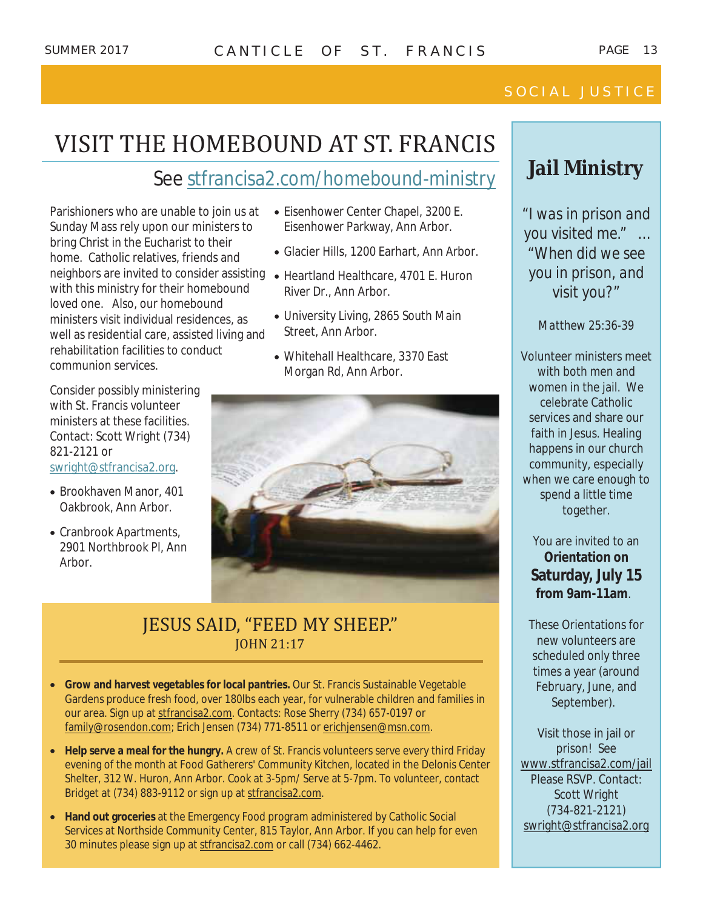#### SOCIAL JUSTICE

## VISIT THE HOMEBOUND AT ST. FRANCIS

#### See stfrancisa2.com/homebound-ministry

Parishioners who are unable to join us at Sunday Mass rely upon our ministers to bring Christ in the Eucharist to their home. Catholic relatives, friends and neighbors are invited to consider assisting with this ministry for their homebound loved one. Also, our homebound ministers visit individual residences, as well as residential care, assisted living and rehabilitation facilities to conduct communion services.

- Eisenhower Center Chapel, 3200 E. Eisenhower Parkway, Ann Arbor.
- Glacier Hills, 1200 Earhart, Ann Arbor.
- Heartland Healthcare, 4701 E. Huron River Dr., Ann Arbor.
- University Living, 2865 South Main Street, Ann Arbor.
- Whitehall Healthcare, 3370 East Morgan Rd, Ann Arbor.

Consider possibly ministering with St. Francis volunteer ministers at these facilities. Contact: Scott Wright (734) 821-2121 or swright@stfrancisa2.org.

- Brookhaven Manor, 401 Oakbrook, Ann Arbor.
- Cranbrook Apartments, 2901 Northbrook Pl, Ann Arbor.



#### JESUS SAID, "FEED MY SHEEP." **IOHN 21:17**

- **Grow and harvest vegetables for local pantries.** Our St. Francis Sustainable Vegetable Gardens produce fresh food, over 180lbs each year, for vulnerable children and families in our area. Sign up at stfrancisa2.com. Contacts: Rose Sherry (734) 657-0197 or family@rosendon.com; Erich Jensen (734) 771-8511 or erichjensen@msn.com.
- Help serve a meal for the hungry. A crew of St. Francis volunteers serve every third Friday evening of the month at Food Gatherers' Community Kitchen, located in the Delonis Center Shelter, 312 W. Huron, Ann Arbor. Cook at 3-5pm/ Serve at 5-7pm. To volunteer, contact Bridget at (734) 883-9112 or sign up at stfrancisa2.com.
- **Hand out groceries** at the Emergency Food program administered by Catholic Social Services at Northside Community Center, 815 Taylor, Ann Arbor. If you can help for even 30 minutes please sign up at stfrancisa2.com or call (734) 662-4462.

### **Jail Ministry**

*"I was in prison and you visited me." … "When did we see you in prison, and visit you?"* 

*Matthew 25:36-39* 

Volunteer ministers meet with both men and women in the jail. We celebrate Catholic services and share our faith in Jesus. Healing happens in our church community, especially when we care enough to spend a little time together.

You are invited to an **Orientation on Saturday, July 15 from 9am-11am**.

These Orientations for new volunteers are scheduled only three times a year (around February, June, and September).

Visit those in jail or prison! See www.stfrancisa2.com/jail Please RSVP. Contact: Scott Wright (734-821-2121) swright@stfrancisa2.org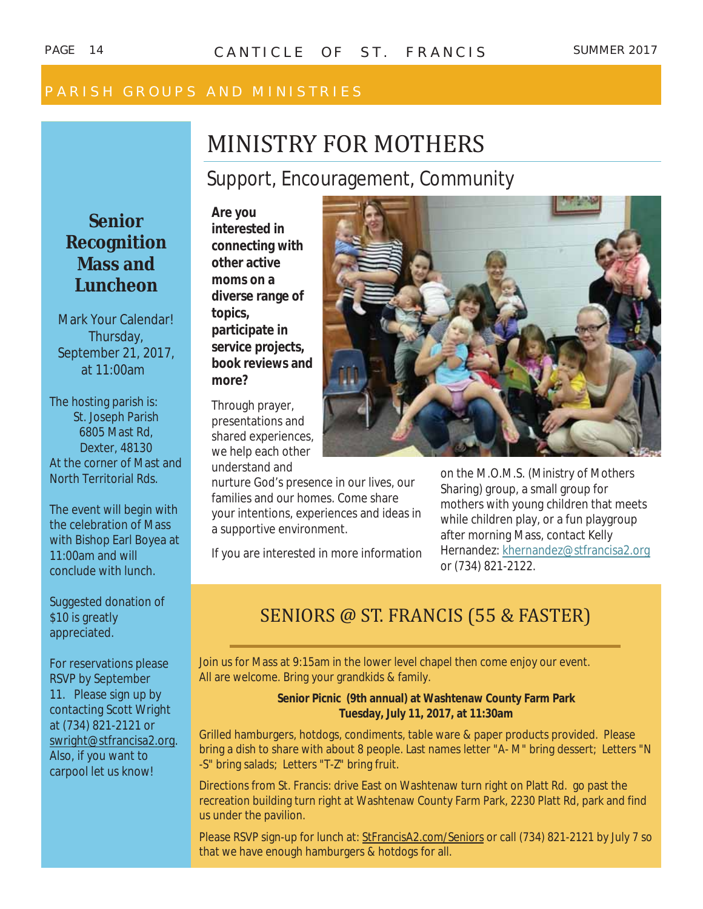#### PARISH GROUPS AND MINISTRIES

## **MINISTRY FOR MOTHERS**

#### Support, Encouragement, Community

#### **Senior Recognition Mass and Luncheon**

Mark Your Calendar! Thursday, September 21, 2017, at 11:00am

The hosting parish is: St. Joseph Parish 6805 Mast Rd, Dexter, 48130 At the corner of Mast and North Territorial Rds.

The event will begin with the celebration of Mass with Bishop Earl Boyea at 11:00am and will conclude with lunch.

Suggested donation of \$10 is greatly appreciated.

For reservations please RSVP by September 11. Please sign up by contacting Scott Wright at (734) 821-2121 or swright@stfrancisa2.org. Also, if you want to carpool let us know!

**Are you interested in connecting with other active moms on a diverse range of topics, participate in service projects, book reviews and more?** 

Through prayer, presentations and shared experiences, we help each other understand and

nurture God's presence in our lives, our families and our homes. Come share your intentions, experiences and ideas in a supportive environment.

If you are interested in more information



on the M.O.M.S. (Ministry of Mothers Sharing) group, a small group for mothers with young children that meets while children play, or a fun playgroup after morning Mass, contact Kelly Hernandez: khernandez@stfrancisa2.org or (734) 821-2122.

#### SENIORS @ ST. FRANCIS (55 & FASTER)

Join us for Mass at 9:15am in the lower level chapel then come enjoy our event. All are welcome. Bring your grandkids & family.

#### **Senior Picnic (9th annual) at Washtenaw County Farm Park Tuesday, July 11, 2017, at 11:30am**

Grilled hamburgers, hotdogs, condiments, table ware & paper products provided. Please bring a dish to share with about 8 people. Last names letter "A- M" bring dessert; Letters "N -S" bring salads; Letters "T-Z" bring fruit.

Directions from St. Francis: drive East on Washtenaw turn right on Platt Rd. go past the recreation building turn right at Washtenaw County Farm Park, 2230 Platt Rd, park and find us under the pavilion.

Please RSVP sign-up for lunch at: StFrancisA2.com/Seniors or call (734) 821-2121 by July 7 so that we have enough hamburgers & hotdogs for all.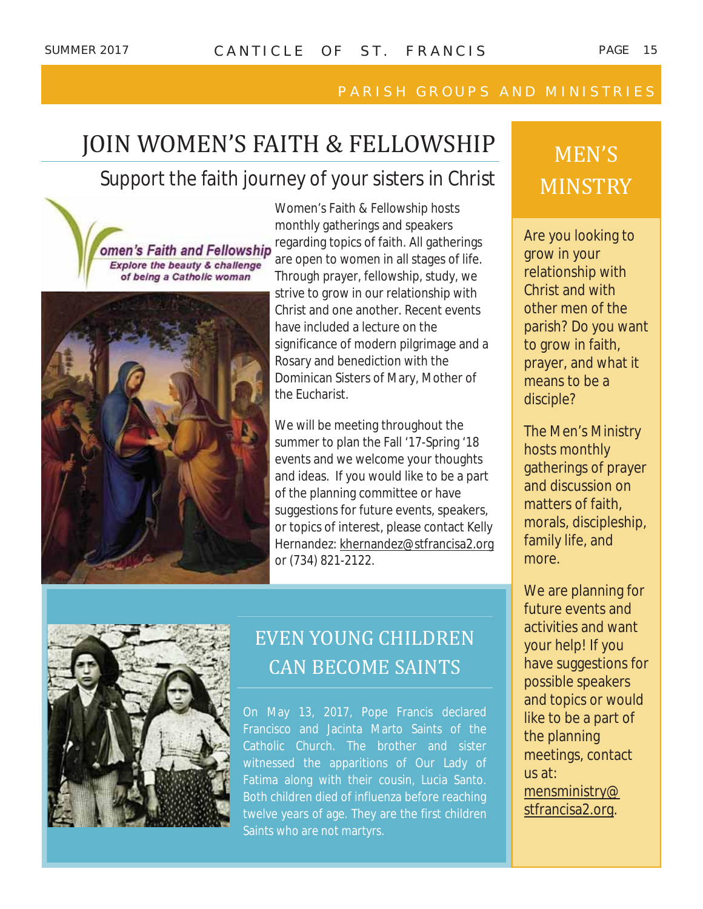#### PARISH GROUPS AND MINISTRIES

## **JOIN WOMEN'S FAITH & FELLOWSHIP**

#### Support the faith journey of your sisters in Christ



Women's Faith & Fellowship hosts monthly gatherings and speakers regarding topics of faith. All gatherings are open to women in all stages of life. Through prayer, fellowship, study, we strive to grow in our relationship with Christ and one another. Recent events have included a lecture on the significance of modern pilgrimage and a Rosary and benediction with the Dominican Sisters of Mary, Mother of the Eucharist.

We will be meeting throughout the summer to plan the Fall '17-Spring '18 events and we welcome your thoughts and ideas. If you would like to be a part of the planning committee or have suggestions for future events, speakers, or topics of interest, please contact Kelly Hernandez: khernandez@stfrancisa2.org or (734) 821-2122.



Are you looking to grow in your relationship with Christ and with other men of the parish? Do you want to grow in faith, prayer, and what it means to be a disciple?

The Men's Ministry hosts monthly gatherings of prayer and discussion on matters of faith, morals, discipleship, family life, and more.

We are planning for future events and activities and want your help! If you have suggestions for possible speakers and topics or would like to be a part of the planning meetings, contact us at: mensministry@ stfrancisa2.org.



## EVEN YOUNG CHILDREN **CAN BECOME SAINTS**

On May 13, 2017, Pope Francis declared Francisco and Jacinta Marto Saints of the Catholic Church. The brother and sister witnessed the apparitions of Our Lady of Fatima along with their cousin, Lucia Santo. Both children died of influenza before reaching twelve years of age. They are the first children Saints who are not martyrs.